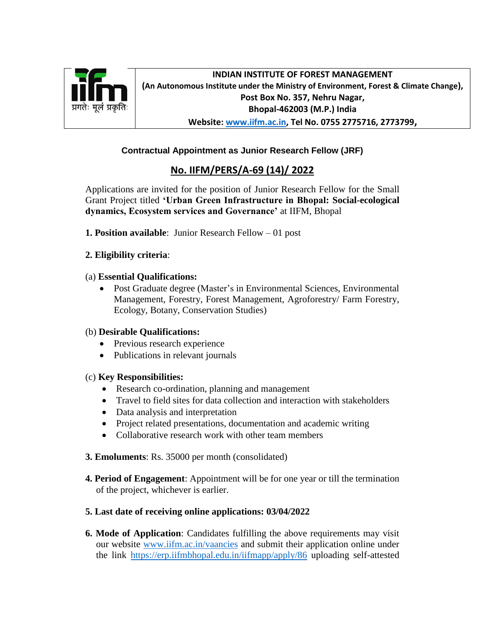

**INDIAN INSTITUTE OF FOREST MANAGEMENT (An Autonomous Institute under the Ministry of Environment, Forest & Climate Change), Post Box No. 357, Nehru Nagar, Bhopal-462003 (M.P.) India Website: [www.iifm.ac.in,](http://www.iifm.ac.in/) Tel No. 0755 2775716, 2773799,**

## **Contractual Appointment as Junior Research Fellow (JRF)**

# **No. IIFM/PERS/A-69 (14)/ 2022**

Applications are invited for the position of Junior Research Fellow for the Small Grant Project titled **'Urban Green Infrastructure in Bhopal: Social-ecological dynamics, Ecosystem services and Governance'** at IIFM, Bhopal

**1. Position available**: Junior Research Fellow – 01 post

## **2. Eligibility criteria**:

#### (a) **Essential Qualifications:**

 Post Graduate degree (Master's in Environmental Sciences, Environmental Management, Forestry, Forest Management, Agroforestry/ Farm Forestry, Ecology, Botany, Conservation Studies)

## (b) **Desirable Qualifications:**

- Previous research experience
- Publications in relevant journals

## (c) **Key Responsibilities:**

- Research co-ordination, planning and management
- Travel to field sites for data collection and interaction with stakeholders
- Data analysis and interpretation
- Project related presentations, documentation and academic writing
- Collaborative research work with other team members
- **3. Emoluments**: Rs. 35000 per month (consolidated)
- **4. Period of Engagement**: Appointment will be for one year or till the termination of the project, whichever is earlier.

## **5. Last date of receiving online applications: 03/04/2022**

**6. Mode of Application**: Candidates fulfilling the above requirements may visit our website [www.iifm.ac.in/vaancies](http://www.iifm.ac.in/vaancies) and submit their application online under the link <https://erp.iifmbhopal.edu.in/iifmapp/apply/86> uploading self-attested